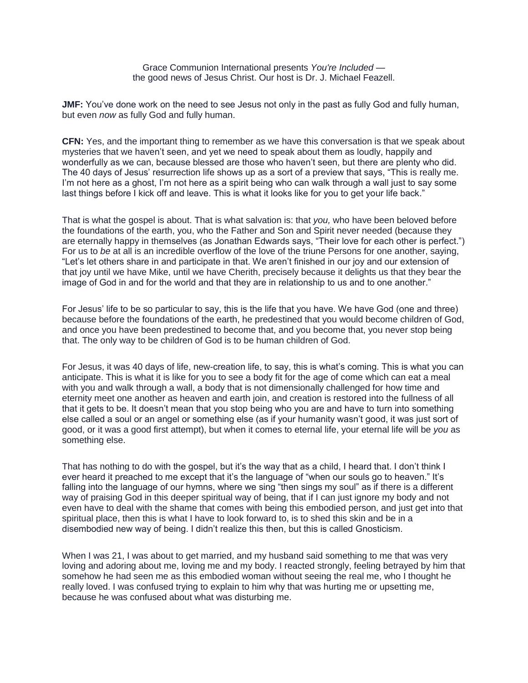Grace Communion International presents *You're Included* the good news of Jesus Christ. Our host is Dr. J. Michael Feazell.

**JMF:** You've done work on the need to see Jesus not only in the past as fully God and fully human, but even *now* as fully God and fully human.

**CFN:** Yes, and the important thing to remember as we have this conversation is that we speak about mysteries that we haven't seen, and yet we need to speak about them as loudly, happily and wonderfully as we can, because blessed are those who haven't seen, but there are plenty who did. The 40 days of Jesus' resurrection life shows up as a sort of a preview that says, "This is really me. I'm not here as a ghost, I'm not here as a spirit being who can walk through a wall just to say some last things before I kick off and leave. This is what it looks like for you to get your life back."

That is what the gospel is about. That is what salvation is: that *you,* who have been beloved before the foundations of the earth, you, who the Father and Son and Spirit never needed (because they are eternally happy in themselves (as Jonathan Edwards says, "Their love for each other is perfect.") For us to *be* at all is an incredible overflow of the love of the triune Persons for one another, saying, "Let's let others share in and participate in that. We aren't finished in our joy and our extension of that joy until we have Mike, until we have Cherith, precisely because it delights us that they bear the image of God in and for the world and that they are in relationship to us and to one another."

For Jesus' life to be so particular to say, this is the life that you have. We have God (one and three) because before the foundations of the earth, he predestined that you would become children of God, and once you have been predestined to become that, and you become that, you never stop being that. The only way to be children of God is to be human children of God.

For Jesus, it was 40 days of life, new-creation life, to say, this is what's coming. This is what you can anticipate. This is what it is like for you to see a body fit for the age of come which can eat a meal with you and walk through a wall, a body that is not dimensionally challenged for how time and eternity meet one another as heaven and earth join, and creation is restored into the fullness of all that it gets to be. It doesn't mean that you stop being who you are and have to turn into something else called a soul or an angel or something else (as if your humanity wasn't good, it was just sort of good, or it was a good first attempt), but when it comes to eternal life, your eternal life will be *you* as something else.

That has nothing to do with the gospel, but it's the way that as a child, I heard that. I don't think I ever heard it preached to me except that it's the language of "when our souls go to heaven." It's falling into the language of our hymns, where we sing "then sings my soul" as if there is a different way of praising God in this deeper spiritual way of being, that if I can just ignore my body and not even have to deal with the shame that comes with being this embodied person, and just get into that spiritual place, then this is what I have to look forward to, is to shed this skin and be in a disembodied new way of being. I didn't realize this then, but this is called Gnosticism.

When I was 21, I was about to get married, and my husband said something to me that was very loving and adoring about me, loving me and my body. I reacted strongly, feeling betrayed by him that somehow he had seen me as this embodied woman without seeing the real me, who I thought he really loved. I was confused trying to explain to him why that was hurting me or upsetting me, because he was confused about what was disturbing me.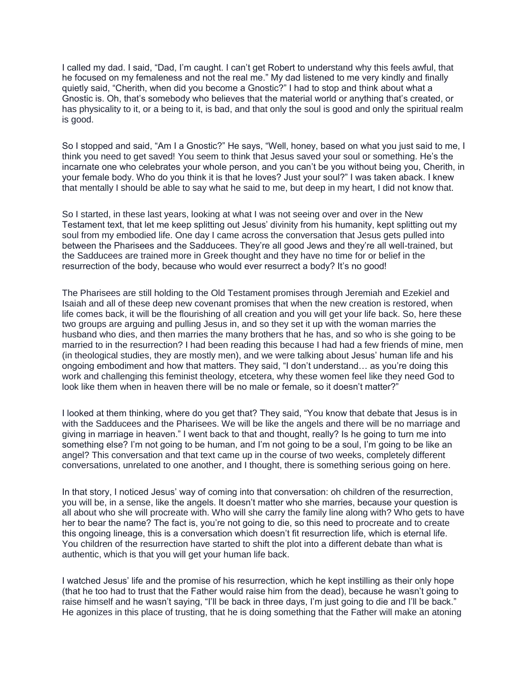I called my dad. I said, "Dad, I'm caught. I can't get Robert to understand why this feels awful, that he focused on my femaleness and not the real me." My dad listened to me very kindly and finally quietly said, "Cherith, when did you become a Gnostic?" I had to stop and think about what a Gnostic is. Oh, that's somebody who believes that the material world or anything that's created, or has physicality to it, or a being to it, is bad, and that only the soul is good and only the spiritual realm is good.

So I stopped and said, "Am I a Gnostic?" He says, "Well, honey, based on what you just said to me, I think you need to get saved! You seem to think that Jesus saved your soul or something. He's the incarnate one who celebrates your whole person, and you can't be you without being you, Cherith, in your female body. Who do you think it is that he loves? Just your soul?" I was taken aback. I knew that mentally I should be able to say what he said to me, but deep in my heart, I did not know that.

So I started, in these last years, looking at what I was not seeing over and over in the New Testament text, that let me keep splitting out Jesus' divinity from his humanity, kept splitting out my soul from my embodied life. One day I came across the conversation that Jesus gets pulled into between the Pharisees and the Sadducees. They're all good Jews and they're all well-trained, but the Sadducees are trained more in Greek thought and they have no time for or belief in the resurrection of the body, because who would ever resurrect a body? It's no good!

The Pharisees are still holding to the Old Testament promises through Jeremiah and Ezekiel and Isaiah and all of these deep new covenant promises that when the new creation is restored, when life comes back, it will be the flourishing of all creation and you will get your life back. So, here these two groups are arguing and pulling Jesus in, and so they set it up with the woman marries the husband who dies, and then marries the many brothers that he has, and so who is she going to be married to in the resurrection? I had been reading this because I had had a few friends of mine, men (in theological studies, they are mostly men), and we were talking about Jesus' human life and his ongoing embodiment and how that matters. They said, "I don't understand… as you're doing this work and challenging this feminist theology, etcetera, why these women feel like they need God to look like them when in heaven there will be no male or female, so it doesn't matter?"

I looked at them thinking, where do you get that? They said, "You know that debate that Jesus is in with the Sadducees and the Pharisees. We will be like the angels and there will be no marriage and giving in marriage in heaven." I went back to that and thought, really? Is he going to turn me into something else? I'm not going to be human, and I'm not going to be a soul, I'm going to be like an angel? This conversation and that text came up in the course of two weeks, completely different conversations, unrelated to one another, and I thought, there is something serious going on here.

In that story, I noticed Jesus' way of coming into that conversation: oh children of the resurrection, you will be, in a sense, like the angels. It doesn't matter who she marries, because your question is all about who she will procreate with. Who will she carry the family line along with? Who gets to have her to bear the name? The fact is, you're not going to die, so this need to procreate and to create this ongoing lineage, this is a conversation which doesn't fit resurrection life, which is eternal life. You children of the resurrection have started to shift the plot into a different debate than what is authentic, which is that you will get your human life back.

I watched Jesus' life and the promise of his resurrection, which he kept instilling as their only hope (that he too had to trust that the Father would raise him from the dead), because he wasn't going to raise himself and he wasn't saying, "I'll be back in three days, I'm just going to die and I'll be back." He agonizes in this place of trusting, that he is doing something that the Father will make an atoning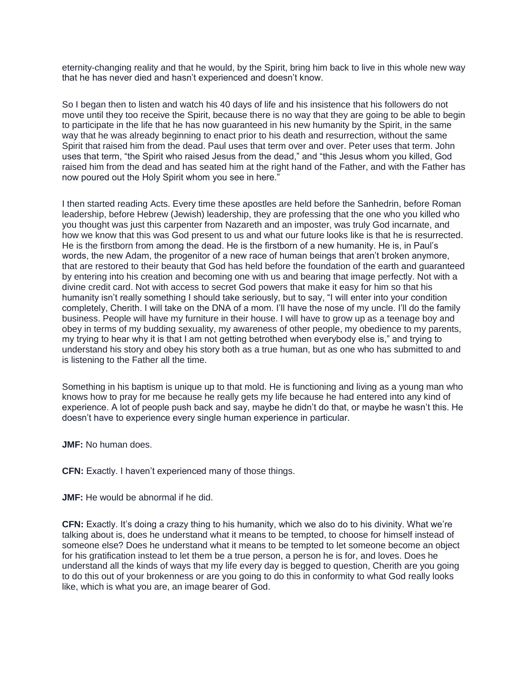eternity-changing reality and that he would, by the Spirit, bring him back to live in this whole new way that he has never died and hasn't experienced and doesn't know.

So I began then to listen and watch his 40 days of life and his insistence that his followers do not move until they too receive the Spirit, because there is no way that they are going to be able to begin to participate in the life that he has now guaranteed in his new humanity by the Spirit, in the same way that he was already beginning to enact prior to his death and resurrection, without the same Spirit that raised him from the dead. Paul uses that term over and over. Peter uses that term. John uses that term, "the Spirit who raised Jesus from the dead," and "this Jesus whom you killed, God raised him from the dead and has seated him at the right hand of the Father, and with the Father has now poured out the Holy Spirit whom you see in here."

I then started reading Acts. Every time these apostles are held before the Sanhedrin, before Roman leadership, before Hebrew (Jewish) leadership, they are professing that the one who you killed who you thought was just this carpenter from Nazareth and an imposter, was truly God incarnate, and how we know that this was God present to us and what our future looks like is that he is resurrected. He is the firstborn from among the dead. He is the firstborn of a new humanity. He is, in Paul's words, the new Adam, the progenitor of a new race of human beings that aren't broken anymore, that are restored to their beauty that God has held before the foundation of the earth and guaranteed by entering into his creation and becoming one with us and bearing that image perfectly. Not with a divine credit card. Not with access to secret God powers that make it easy for him so that his humanity isn't really something I should take seriously, but to say, "I will enter into your condition completely, Cherith. I will take on the DNA of a mom. I'll have the nose of my uncle. I'll do the family business. People will have my furniture in their house. I will have to grow up as a teenage boy and obey in terms of my budding sexuality, my awareness of other people, my obedience to my parents, my trying to hear why it is that I am not getting betrothed when everybody else is," and trying to understand his story and obey his story both as a true human, but as one who has submitted to and is listening to the Father all the time.

Something in his baptism is unique up to that mold. He is functioning and living as a young man who knows how to pray for me because he really gets my life because he had entered into any kind of experience. A lot of people push back and say, maybe he didn't do that, or maybe he wasn't this. He doesn't have to experience every single human experience in particular.

**JMF:** No human does.

**CFN:** Exactly. I haven't experienced many of those things.

**JMF:** He would be abnormal if he did.

**CFN:** Exactly. It's doing a crazy thing to his humanity, which we also do to his divinity. What we're talking about is, does he understand what it means to be tempted, to choose for himself instead of someone else? Does he understand what it means to be tempted to let someone become an object for his gratification instead to let them be a true person, a person he is for, and loves. Does he understand all the kinds of ways that my life every day is begged to question, Cherith are you going to do this out of your brokenness or are you going to do this in conformity to what God really looks like, which is what you are, an image bearer of God.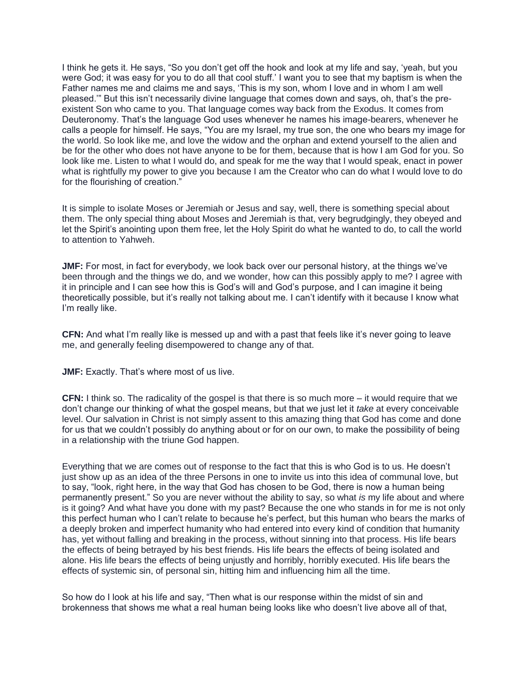I think he gets it. He says, "So you don't get off the hook and look at my life and say, 'yeah, but you were God; it was easy for you to do all that cool stuff.' I want you to see that my baptism is when the Father names me and claims me and says, 'This is my son, whom I love and in whom I am well pleased.'" But this isn't necessarily divine language that comes down and says, oh, that's the preexistent Son who came to you. That language comes way back from the Exodus. It comes from Deuteronomy. That's the language God uses whenever he names his image-bearers, whenever he calls a people for himself. He says, "You are my Israel, my true son, the one who bears my image for the world. So look like me, and love the widow and the orphan and extend yourself to the alien and be for the other who does not have anyone to be for them, because that is how I am God for you. So look like me. Listen to what I would do, and speak for me the way that I would speak, enact in power what is rightfully my power to give you because I am the Creator who can do what I would love to do for the flourishing of creation."

It is simple to isolate Moses or Jeremiah or Jesus and say, well, there is something special about them. The only special thing about Moses and Jeremiah is that, very begrudgingly, they obeyed and let the Spirit's anointing upon them free, let the Holy Spirit do what he wanted to do, to call the world to attention to Yahweh.

**JMF:** For most, in fact for everybody, we look back over our personal history, at the things we've been through and the things we do, and we wonder, how can this possibly apply to me? I agree with it in principle and I can see how this is God's will and God's purpose, and I can imagine it being theoretically possible, but it's really not talking about me. I can't identify with it because I know what I'm really like.

**CFN:** And what I'm really like is messed up and with a past that feels like it's never going to leave me, and generally feeling disempowered to change any of that.

**JMF:** Exactly. That's where most of us live.

**CFN:** I think so. The radicality of the gospel is that there is so much more – it would require that we don't change our thinking of what the gospel means, but that we just let it *take* at every conceivable level. Our salvation in Christ is not simply assent to this amazing thing that God has come and done for us that we couldn't possibly do anything about or for on our own, to make the possibility of being in a relationship with the triune God happen.

Everything that we are comes out of response to the fact that this is who God is to us. He doesn't just show up as an idea of the three Persons in one to invite us into this idea of communal love, but to say, "look, right here, in the way that God has chosen to be God, there is now a human being permanently present." So you are never without the ability to say, so what *is* my life about and where is it going? And what have you done with my past? Because the one who stands in for me is not only this perfect human who I can't relate to because he's perfect, but this human who bears the marks of a deeply broken and imperfect humanity who had entered into every kind of condition that humanity has, yet without falling and breaking in the process, without sinning into that process. His life bears the effects of being betrayed by his best friends. His life bears the effects of being isolated and alone. His life bears the effects of being unjustly and horribly, horribly executed. His life bears the effects of systemic sin, of personal sin, hitting him and influencing him all the time.

So how do I look at his life and say, "Then what is our response within the midst of sin and brokenness that shows me what a real human being looks like who doesn't live above all of that,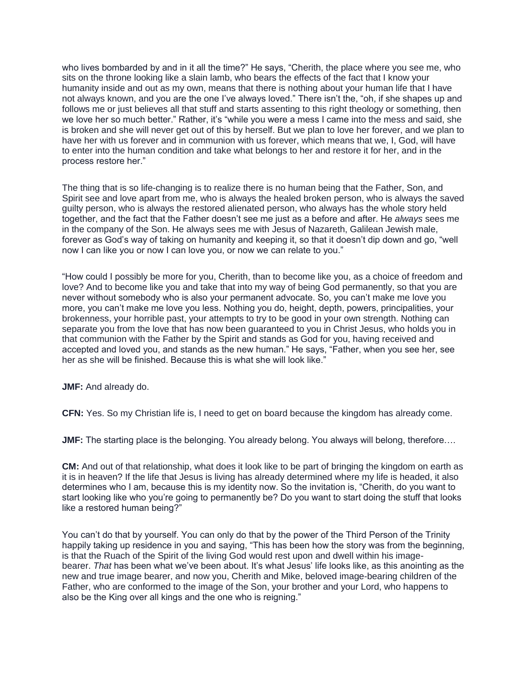who lives bombarded by and in it all the time?" He says, "Cherith, the place where you see me, who sits on the throne looking like a slain lamb, who bears the effects of the fact that I know your humanity inside and out as my own, means that there is nothing about your human life that I have not always known, and you are the one I've always loved." There isn't the, "oh, if she shapes up and follows me or just believes all that stuff and starts assenting to this right theology or something, then we love her so much better." Rather, it's "while you were a mess I came into the mess and said, she is broken and she will never get out of this by herself. But we plan to love her forever, and we plan to have her with us forever and in communion with us forever, which means that we, I, God, will have to enter into the human condition and take what belongs to her and restore it for her, and in the process restore her."

The thing that is so life-changing is to realize there is no human being that the Father, Son, and Spirit see and love apart from me, who is always the healed broken person, who is always the saved guilty person, who is always the restored alienated person, who always has the whole story held together, and the fact that the Father doesn't see me just as a before and after. He *always* sees me in the company of the Son. He always sees me with Jesus of Nazareth, Galilean Jewish male, forever as God's way of taking on humanity and keeping it, so that it doesn't dip down and go, "well now I can like you or now I can love you, or now we can relate to you."

"How could I possibly be more for you, Cherith, than to become like you, as a choice of freedom and love? And to become like you and take that into my way of being God permanently, so that you are never without somebody who is also your permanent advocate. So, you can't make me love you more, you can't make me love you less. Nothing you do, height, depth, powers, principalities, your brokenness, your horrible past, your attempts to try to be good in your own strength. Nothing can separate you from the love that has now been guaranteed to you in Christ Jesus, who holds you in that communion with the Father by the Spirit and stands as God for you, having received and accepted and loved you, and stands as the new human." He says, "Father, when you see her, see her as she will be finished. Because this is what she will look like."

**JMF:** And already do.

**CFN:** Yes. So my Christian life is, I need to get on board because the kingdom has already come.

**JMF:** The starting place is the belonging. You already belong. You always will belong, therefore....

**CM:** And out of that relationship, what does it look like to be part of bringing the kingdom on earth as it is in heaven? If the life that Jesus is living has already determined where my life is headed, it also determines who I am, because this is my identity now. So the invitation is, "Cherith, do you want to start looking like who you're going to permanently be? Do you want to start doing the stuff that looks like a restored human being?"

You can't do that by yourself. You can only do that by the power of the Third Person of the Trinity happily taking up residence in you and saying, "This has been how the story was from the beginning, is that the Ruach of the Spirit of the living God would rest upon and dwell within his imagebearer. *That* has been what we've been about. It's what Jesus' life looks like, as this anointing as the new and true image bearer, and now you, Cherith and Mike, beloved image-bearing children of the Father, who are conformed to the image of the Son, your brother and your Lord, who happens to also be the King over all kings and the one who is reigning."